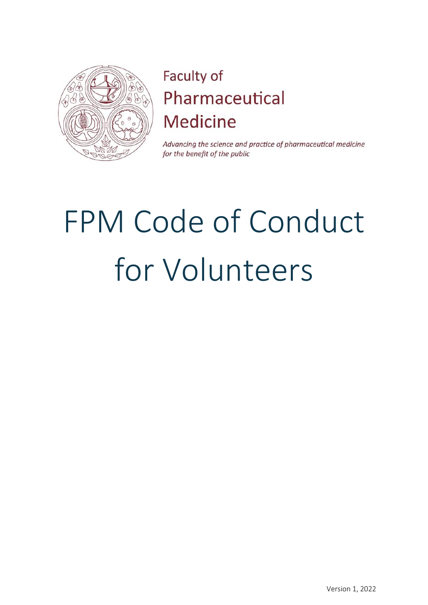

# Faculty of Pharmaceutical **Medicine**

Advancing the science and practice of pharmaceutical medicine for the benefit of the public

# FPM Code of Conduct for Volunteers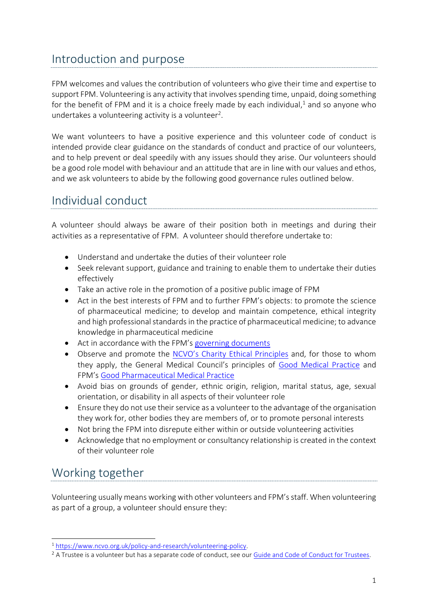# Introduction and purpose

FPM welcomes and values the contribution of volunteers who give their time and expertise to support FPM. Volunteering is any activity that involves spending time, unpaid, doing something for the benefit of FPM and it is a choice freely made by each individual,<sup>1</sup> and so anyone who undertakes a volunteering activity is a volunteer<sup>2</sup>.

We want volunteers to have a positive experience and this volunteer code of conduct is intended provide clear guidance on the standards of conduct and practice of our volunteers, and to help prevent or deal speedily with any issues should they arise. Our volunteers should be a good role model with behaviour and an attitude that are in line with our values and ethos, and we ask volunteers to abide by the following good governance rules outlined below.

### Individual conduct

A volunteer should always be aware of their position both in meetings and during their activities as a representative of FPM. A volunteer should therefore undertake to:

- Understand and undertake the duties of their volunteer role
- Seek relevant support, guidance and training to enable them to undertake their duties effectively
- Take an active role in the promotion of a positive public image of FPM
- Act in the best interests of FPM and to further FPM's objects: to promote the science of pharmaceutical medicine; to develop and maintain competence, ethical integrity and high professional standards in the practice of pharmaceutical medicine; to advance knowledge in pharmaceutical medicine
- Act in accordance with the FPM's [governing documents](https://www.fpm.org.uk/about/governance/)
- Observe and promote the [NCVO's Charity Ethical Principl](https://www.ncvo.org.uk/policy-and-research/ethics/ethical-principles)es and, for those to whom they apply, the General Medical Council's principles of [Good Medical Practice](https://www.gmc-uk.org/ethical-guidance/ethical-guidance-for-doctors/good-medical-practice) and FPM's [Good Pharmaceutical Medical Practice](https://www.fpm.org.uk/policy-and-publications/good-pharmaceutical-medical-practice-gpmp-support-network/)
- Avoid bias on grounds of gender, ethnic origin, religion, marital status, age, sexual orientation, or disability in all aspects of their volunteer role
- Ensure they do not use their service as a volunteer to the advantage of the organisation they work for, other bodies they are members of, or to promote personal interests
- Not bring the FPM into disrepute either within or outside volunteering activities
- Acknowledge that no employment or consultancy relationship is created in the context of their volunteer role

# Working together

Volunteering usually means working with other volunteers and FPM'sstaff. When volunteering as part of a group, a volunteer should ensure they:

<sup>1</sup> [https://www.ncvo.org.uk/policy-and-research/volunteering-policy.](https://www.ncvo.org.uk/policy-and-research/volunteering-policy)

<sup>&</sup>lt;sup>2</sup> A Trustee is a volunteer but has a separate code of conduct, see our [Guide and Code of Conduct for Trustees.](https://www.fpm.org.uk/about/governance/)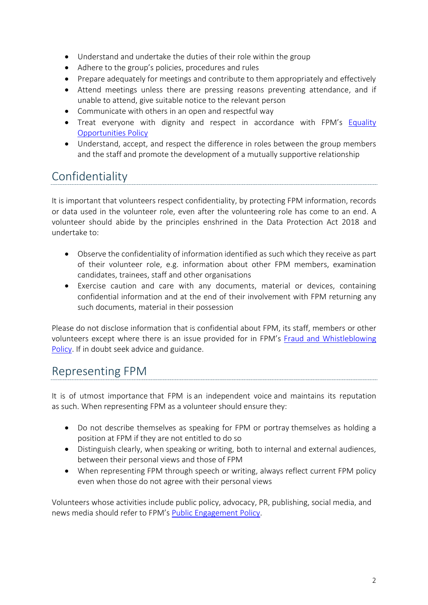- Understand and undertake the duties of their role within the group
- Adhere to the group's policies, procedures and rules
- Prepare adequately for meetings and contribute to them appropriately and effectively
- Attend meetings unless there are pressing reasons preventing attendance, and if unable to attend, give suitable notice to the relevant person
- Communicate with others in an open and respectful way
- Treat everyone with dignity and respect in accordance with FPM's Equality [Opportunities](https://www.fpm.org.uk/about/governance/) Policy
- Understand, accept, and respect the difference in roles between the group members and the staff and promote the development of a mutually supportive relationship

# Confidentiality

It is important that volunteers respect confidentiality, by protecting FPM information, records or data used in the volunteer role, even after the volunteering role has come to an end. A volunteer should abide by the principles enshrined in the Data Protection Act 2018 and undertake to:

- Observe the confidentiality of information identified as such which they receive as part of their volunteer role, e.g. information about other FPM members, examination candidates, trainees, staff and other organisations
- Exercise caution and care with any documents, material or devices, containing confidential information and at the end of their involvement with FPM returning any such documents, material in their possession

Please do not disclose information that is confidential about FPM, its staff, members or other volunteers except where there is an issue provided for in FPM's [Fraud and Whistleblowing](https://www.fpm.org.uk/about/governance/)  [Policy.](https://www.fpm.org.uk/about/governance/) If in doubt seek advice and guidance.

#### Representing FPM

It is of utmost importance that FPM is an independent voice and maintains its reputation as such. When representing FPM as a volunteer should ensure they:

- Do not describe themselves as speaking for FPM or portray themselves as holding a position at FPM if they are not entitled to do so
- Distinguish clearly, when speaking or writing, both to internal and external audiences, between their personal views and those of FPM
- When representing FPM through speech or writing, always reflect current FPM policy even when those do not agree with their personal views

Volunteers whose activities include public policy, advocacy, PR, publishing, social media, and news media should refer to FPM's [Public Engagement Policy.](https://www.fpm.org.uk/about/governance/)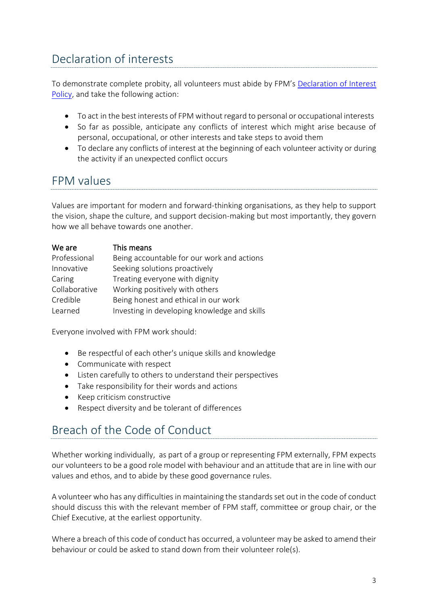# Declaration of interests

To demonstrate complete probity, all volunteers must abide by FPM's [Declaration of Interest](https://www.fpm.org.uk/about/governance/)  [Policy,](https://www.fpm.org.uk/about/governance/) and take the following action:

- To act in the best interests of FPM without regard to personal or occupational interests
- So far as possible, anticipate any conflicts of interest which might arise because of personal, occupational, or other interests and take steps to avoid them
- To declare any conflicts of interest at the beginning of each volunteer activity or during the activity if an unexpected conflict occurs

#### FPM values

Values are important for modern and forward-thinking organisations, as they help to support the vision, shape the culture, and support decision-making but most importantly, they govern how we all behave towards one another.

| We are        | This means                                   |
|---------------|----------------------------------------------|
| Professional  | Being accountable for our work and actions   |
| Innovative    | Seeking solutions proactively                |
| Caring        | Treating everyone with dignity               |
| Collaborative | Working positively with others               |
| Credible      | Being honest and ethical in our work         |
| Learned       | Investing in developing knowledge and skills |

Everyone involved with FPM work should:

- Be respectful of each other's unique skills and knowledge
- Communicate with respect
- Listen carefully to others to understand their perspectives
- Take responsibility for their words and actions
- Keep criticism constructive
- Respect diversity and be tolerant of differences

# Breach of the Code of Conduct

Whether working individually, as part of a group or representing FPM externally, FPM expects our volunteers to be a good role model with behaviour and an attitude that are in line with our values and ethos, and to abide by these good governance rules.

A volunteer who has any difficulties in maintaining the standards set out in the code of conduct should discuss this with the relevant member of FPM staff, committee or group chair, or the Chief Executive, at the earliest opportunity.

Where a breach of this code of conduct has occurred, a volunteer may be asked to amend their behaviour or could be asked to stand down from their volunteer role(s).